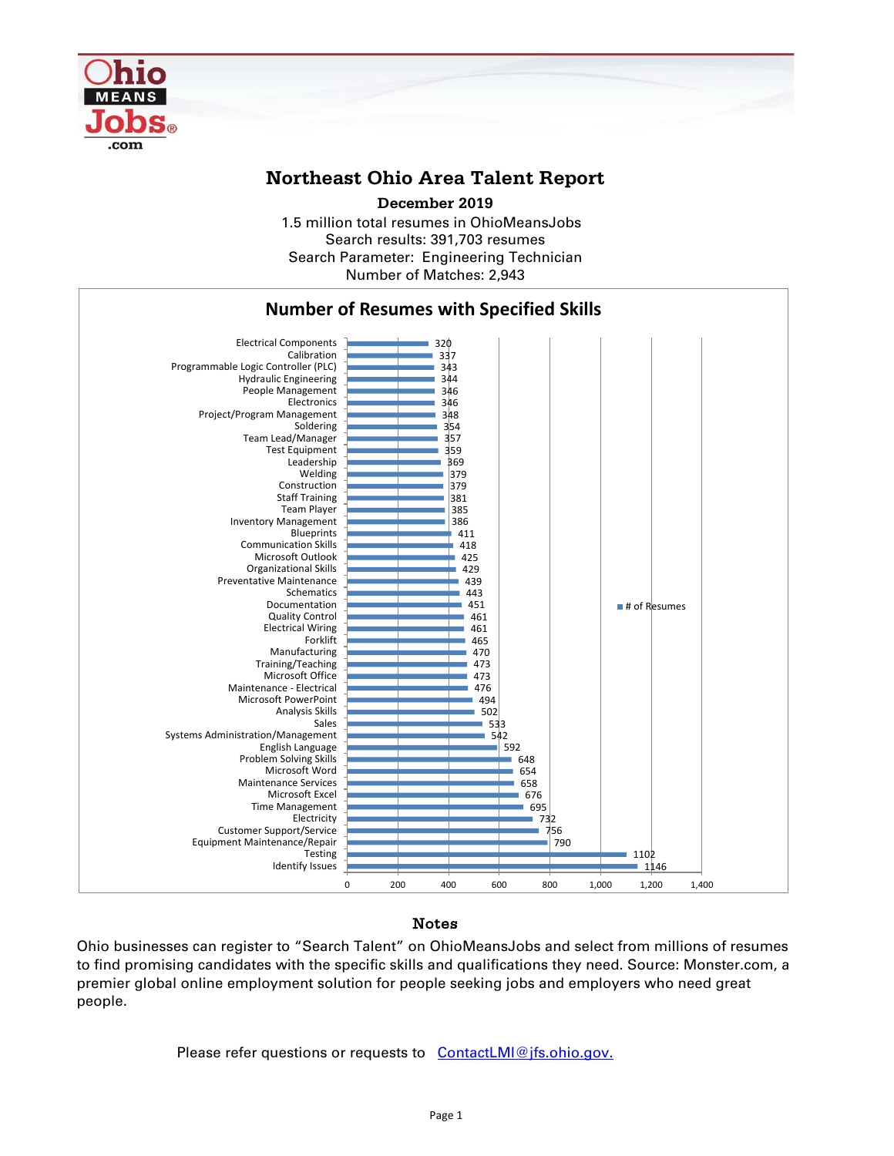

## **Northeast Ohio Area Talent Report**

1.5 million total resumes in OhioMeansJobs Search results: 391,703 resumes Search Parameter: Engineering Technician **December 2019**

Number of Matches: 2,943



## Notes

Ohio businesses can register to "Search Talent" on OhioMeansJobs and select from millions of resumes to find promising candidates with the specific skills and qualifications they need. Source: Monster.com, a premier global online employment solution for people seeking jobs and employers who need great people.

Please refer questions or requests to [ContactLMI@jfs.ohio.gov.](mailto:ContactLMI@jfs.ohio.gov.)